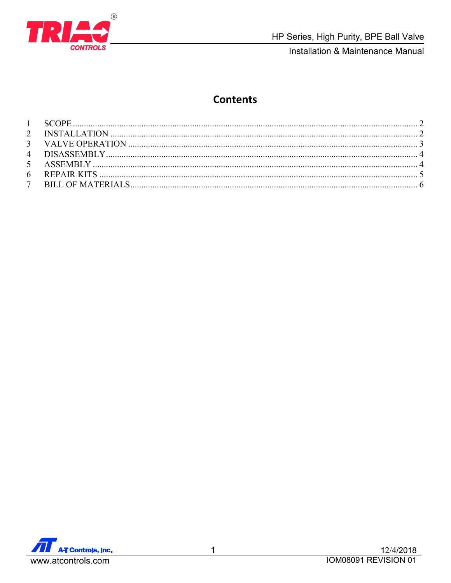

# **Contents**

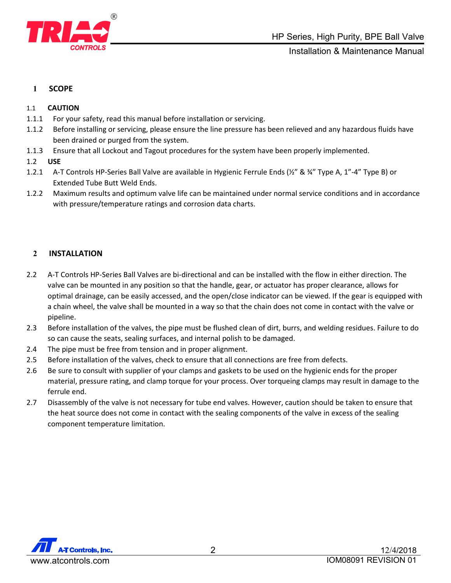

## <span id="page-1-0"></span>**1 SCOPE**

### <span id="page-1-1"></span>1.1 **CAUTION**

- 1.1.1 For your safety, read this manual before installation or servicing.
- 1.1.2 Before installing or servicing, please ensure the line pressure has been relieved and any hazardous fluids have been drained or purged from the system.
- 1.1.3 Ensure that all Lockout and Tagout procedures for the system have been properly implemented.
- 1.2 **USE**
- 1.2.1 A-T Controls HP-Series Ball Valve are available in Hygienic Ferrule Ends (½" & ¾" Type A, 1"-4" Type B) or Extended Tube Butt Weld Ends.
- 1.2.2 Maximum results and optimum valve life can be maintained under normal service conditions and in accordance with pressure/temperature ratings and corrosion data charts.

# **2 INSTALLATION**

- 2.2 A-T Controls HP-Series Ball Valves are bi-directional and can be installed with the flow in either direction. The valve can be mounted in any position so that the handle, gear, or actuator has proper clearance, allows for optimal drainage, can be easily accessed, and the open/close indicator can be viewed. If the gear is equipped with a chain wheel, the valve shall be mounted in a way so that the chain does not come in contact with the valve or pipeline.
- 2.3 Before installation of the valves, the pipe must be flushed clean of dirt, burrs, and welding residues. Failure to do so can cause the seats, sealing surfaces, and internal polish to be damaged.
- 2.4 The pipe must be free from tension and in proper alignment.
- 2.5 Before installation of the valves, check to ensure that all connections are free from defects.
- 2.6 Be sure to consult with supplier of your clamps and gaskets to be used on the hygienic ends for the proper material, pressure rating, and clamp torque for your process. Over torqueing clamps may result in damage to the ferrule end.
- <span id="page-1-2"></span>2.7 Disassembly of the valve is not necessary for tube end valves. However, caution should be taken to ensure that the heat source does not come in contact with the sealing components of the valve in excess of the sealing component temperature limitation.

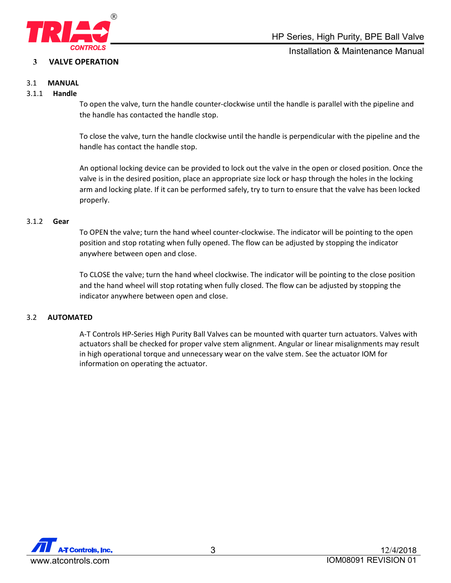

### **3 VALVE OPERATION**

Installation & Maintenance Manual

## 3.1 **MANUAL**

#### 3.1.1 **Handle**

To open the valve, turn the handle counter-clockwise until the handle is parallel with the pipeline and the handle has contacted the handle stop.

To close the valve, turn the handle clockwise until the handle is perpendicular with the pipeline and the handle has contact the handle stop.

An optional locking device can be provided to lock out the valve in the open or closed position. Once the valve is in the desired position, place an appropriate size lock or hasp through the holes in the locking arm and locking plate. If it can be performed safely, try to turn to ensure that the valve has been locked properly.

#### 3.1.2 **Gear**

To OPEN the valve; turn the hand wheel counter-clockwise. The indicator will be pointing to the open position and stop rotating when fully opened. The flow can be adjusted by stopping the indicator anywhere between open and close.

To CLOSE the valve; turn the hand wheel clockwise. The indicator will be pointing to the close position and the hand wheel will stop rotating when fully closed. The flow can be adjusted by stopping the indicator anywhere between open and close.

#### <span id="page-2-0"></span>3.2 **AUTOMATED**

A-T Controls HP-Series High Purity Ball Valves can be mounted with quarter turn actuators. Valves with actuators shall be checked for proper valve stem alignment. Angular or linear misalignments may result in high operational torque and unnecessary wear on the valve stem. See the actuator IOM for information on operating the actuator.

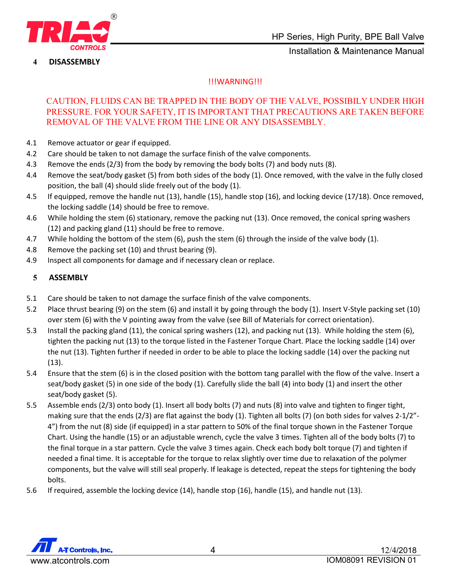

**4 DISASSEMBLY**

# !!!WARNING!!!

# CAUTION, FLUIDS CAN BE TRAPPED IN THE BODY OF THE VALVE, POSSIBILY UNDER HIGH PRESSURE. FOR YOUR SAFETY, IT IS IMPORTANT THAT PRECAUTIONS ARE TAKEN BEFORE REMOVAL OF THE VALVE FROM THE LINE OR ANY DISASSEMBLY.

- 4.1 Remove actuator or gear if equipped.
- 4.2 Care should be taken to not damage the surface finish of the valve components.
- 4.3 Remove the ends (2/3) from the body by removing the body bolts (7) and body nuts (8).
- 4.4 Remove the seat/body gasket (5) from both sides of the body (1). Once removed, with the valve in the fully closed position, the ball (4) should slide freely out of the body (1).
- 4.5 If equipped, remove the handle nut (13), handle (15), handle stop (16), and locking device (17/18). Once removed, the locking saddle (14) should be free to remove.
- 4.6 While holding the stem (6) stationary, remove the packing nut (13). Once removed, the conical spring washers (12) and packing gland (11) should be free to remove.
- 4.7 While holding the bottom of the stem (6), push the stem (6) through the inside of the valve body (1).
- 4.8 Remove the packing set (10) and thrust bearing (9).
- 4.9 Inspect all components for damage and if necessary clean or replace.

# **5 ASSEMBLY**

- 5.1 Care should be taken to not damage the surface finish of the valve components.
- 5.2 Place thrust bearing (9) on the stem (6) and install it by going through the body (1). Insert V-Style packing set (10) over stem (6) with the V pointing away from the valve (see Bill of Materials for correct orientation).
- 5.3 Install the packing gland (11), the conical spring washers (12), and packing nut (13). While holding the stem (6), tighten the packing nut (13) to the torque listed in the Fastener Torque Chart. Place the locking saddle (14) over the nut (13). Tighten further if needed in order to be able to place the locking saddle (14) over the packing nut (13).
- 5.4 Ensure that the stem (6) is in the closed position with the bottom tang parallel with the flow of the valve. Insert a seat/body gasket (5) in one side of the body (1). Carefully slide the ball (4) into body (1) and insert the other seat/body gasket (5).
- 5.5 Assemble ends (2/3) onto body (1). Insert all body bolts (7) and nuts (8) into valve and tighten to finger tight, making sure that the ends (2/3) are flat against the body (1). Tighten all bolts (7) (on both sides for valves 2-1/2"-4") from the nut (8) side (if equipped) in a star pattern to 50% of the final torque shown in the Fastener Torque Chart. Using the handle (15) or an adjustable wrench, cycle the valve 3 times. Tighten all of the body bolts (7) to the final torque in a star pattern. Cycle the valve 3 times again. Check each body bolt torque (7) and tighten if needed a final time. It is acceptable for the torque to relax slightly over time due to relaxation of the polymer components, but the valve will still seal properly. If leakage is detected, repeat the steps for tightening the body bolts.
- 5.6 If required, assemble the locking device (14), handle stop (16), handle (15), and handle nut (13).

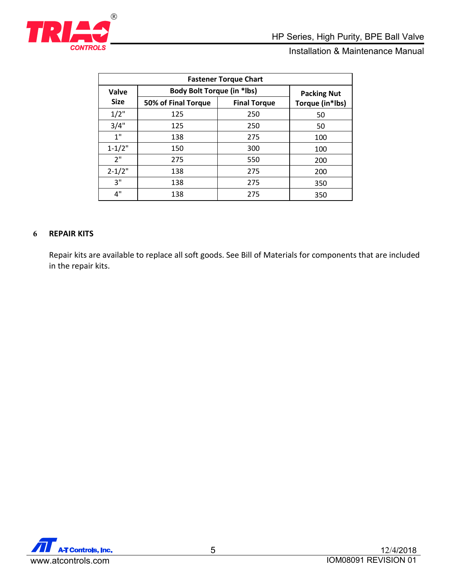

| <b>Fastener Torque Chart</b> |                                   |                     |                 |  |  |  |  |
|------------------------------|-----------------------------------|---------------------|-----------------|--|--|--|--|
| <b>Valve</b>                 | <b>Body Bolt Torque (in *lbs)</b> | <b>Packing Nut</b>  |                 |  |  |  |  |
| <b>Size</b>                  | 50% of Final Torque               | <b>Final Torque</b> | Torque (in*lbs) |  |  |  |  |
| $1/2$ "                      | 125                               | 250                 | 50              |  |  |  |  |
| 3/4"                         | 125                               | 250                 | 50              |  |  |  |  |
| 1"                           | 138                               | 275                 | 100             |  |  |  |  |
| $1 - 1/2"$                   | 150                               | 300                 | 100             |  |  |  |  |
| 2"                           | 275                               | 550                 | 200             |  |  |  |  |
| $2 - 1/2"$                   | 138                               | 275                 | 200             |  |  |  |  |
| 3"                           | 138                               | 275                 | 350             |  |  |  |  |
| 4"                           | 138                               | 275                 | 350             |  |  |  |  |

#### <span id="page-4-0"></span>**6 REPAIR KITS**

<span id="page-4-1"></span>Repair kits are available to replace all soft goods. See Bill of Materials for components that are included in the repair kits.

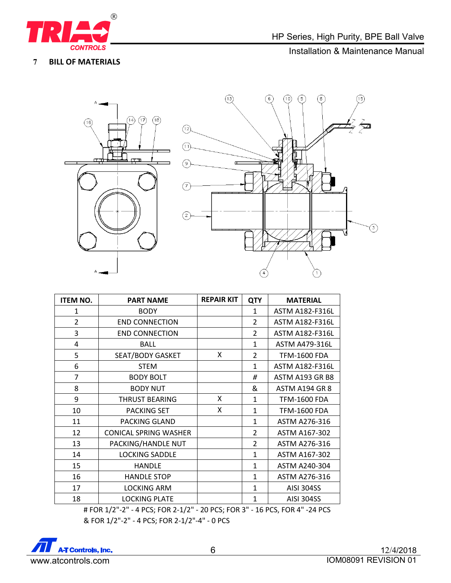

# **BILL OF MATERIALS**





| <b>ITEM NO.</b> | <b>PART NAME</b>             | <b>REPAIR KIT</b> | <b>QTY</b>     | <b>MATERIAL</b>        |
|-----------------|------------------------------|-------------------|----------------|------------------------|
| 1               | <b>BODY</b>                  |                   | 1              | <b>ASTM A182-F316L</b> |
| $\overline{2}$  | <b>END CONNECTION</b>        |                   | $\overline{2}$ | <b>ASTM A182-F316L</b> |
| 3               | <b>END CONNECTION</b>        |                   | $\overline{2}$ | <b>ASTM A182-F316L</b> |
| 4               | <b>BALL</b>                  |                   | 1              | <b>ASTM A479-316L</b>  |
| 5               | <b>SEAT/BODY GASKET</b>      | X                 | $\overline{2}$ | <b>TFM-1600 FDA</b>    |
| 6               | <b>STEM</b>                  |                   | $\mathbf{1}$   | <b>ASTM A182-F316L</b> |
| 7               | <b>BODY BOLT</b>             |                   | #              | ASTM A193 GR B8        |
| 8               | <b>BODY NUT</b>              |                   | &              | <b>ASTM A194 GR 8</b>  |
| 9               | <b>THRUST BEARING</b>        | x                 | 1              | <b>TFM-1600 FDA</b>    |
| 10              | <b>PACKING SET</b>           | X                 | 1              | <b>TFM-1600 FDA</b>    |
| 11              | PACKING GLAND                |                   | 1              | ASTM A276-316          |
| 12              | <b>CONICAL SPRING WASHER</b> |                   | 2              | ASTM A167-302          |
| 13              | PACKING/HANDLE NUT           |                   | 2              | ASTM A276-316          |
| 14              | <b>LOCKING SADDLE</b>        |                   | 1              | ASTM A167-302          |
| 15              | <b>HANDLE</b>                |                   | $\mathbf{1}$   | ASTM A240-304          |
| 16              | <b>HANDLE STOP</b>           |                   | 1              | ASTM A276-316          |
| 17              | <b>LOCKING ARM</b>           |                   | $\mathbf{1}$   | <b>AISI 304SS</b>      |
| 18              | <b>LOCKING PLATE</b>         |                   | 1              | <b>AISI 304SS</b>      |

# FOR 1/2"-2" - 4 PCS; FOR 2-1/2" - 20 PCS; FOR 3" - 16 PCS, FOR 4" -24 PCS & FOR 1/2"-2" - 4 PCS; FOR 2-1/2"-4" - 0 PCS